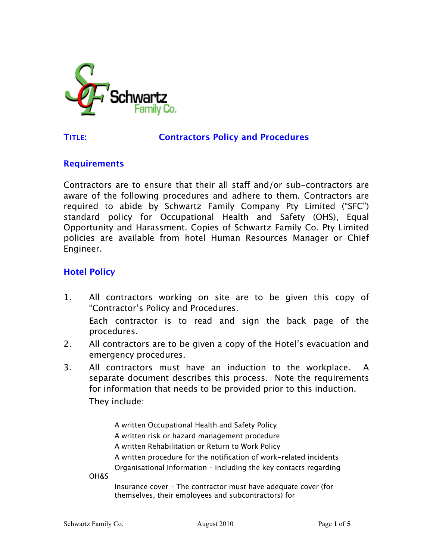

#### **TITLE: Contractors Policy and Procedures**

#### **Requirements**

Contractors are to ensure that their all staff and/or sub-contractors are aware of the following procedures and adhere to them. Contractors are required to abide by Schwartz Family Company Pty Limited ("SFC") standard policy for Occupational Health and Safety (OHS), Equal Opportunity and Harassment. Copies of Schwartz Family Co. Pty Limited policies are available from hotel Human Resources Manager or Chief Engineer.

### **Hotel Policy**

- 1. All contractors working on site are to be given this copy of "Contractor's Policy and Procedures. Each contractor is to read and sign the back page of the procedures.
- 2. All contractors are to be given a copy of the Hotel's evacuation and emergency procedures.
- 3. All contractors must have an induction to the workplace. A separate document describes this process. Note the requirements for information that needs to be provided prior to this induction. They include:

A written Occupational Health and Safety Policy A written risk or hazard management procedure A written Rehabilitation or Return to Work Policy A written procedure for the notification of work-related incidents Organisational Information – including the key contacts regarding

OH&S

Insurance cover – The contractor must have adequate cover (for themselves, their employees and subcontractors) for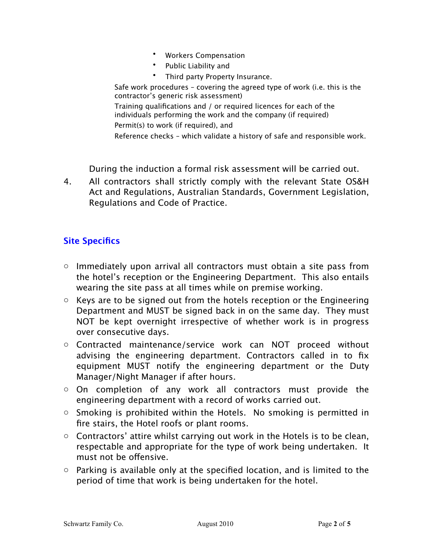- Workers Compensation
- Public Liability and
- Third party Property Insurance.

Safe work procedures – covering the agreed type of work (i.e. this is the contractor's generic risk assessment)

Training qualifications and / or required licences for each of the individuals performing the work and the company (if required) Permit(s) to work (if required), and

Reference checks – which validate a history of safe and responsible work.

During the induction a formal risk assessment will be carried out.

4. All contractors shall strictly comply with the relevant State OS&H Act and Regulations, Australian Standards, Government Legislation, Regulations and Code of Practice.

# **Site Specifics**

- $\circ$  Immediately upon arrival all contractors must obtain a site pass from the hotel's reception or the Engineering Department. This also entails wearing the site pass at all times while on premise working.
- $\circ$  Keys are to be signed out from the hotels reception or the Engineering Department and MUST be signed back in on the same day. They must NOT be kept overnight irrespective of whether work is in progress over consecutive days.
- o Contracted maintenance/service work can NOT proceed without advising the engineering department. Contractors called in to fix equipment MUST notify the engineering department or the Duty Manager/Night Manager if after hours.
- o On completion of any work all contractors must provide the engineering department with a record of works carried out.
- $\circ$  Smoking is prohibited within the Hotels. No smoking is permitted in fire stairs, the Hotel roofs or plant rooms.
- $\circ$  Contractors' attire whilst carrying out work in the Hotels is to be clean, respectable and appropriate for the type of work being undertaken. It must not be offensive.
- $\circ$  Parking is available only at the specified location, and is limited to the period of time that work is being undertaken for the hotel.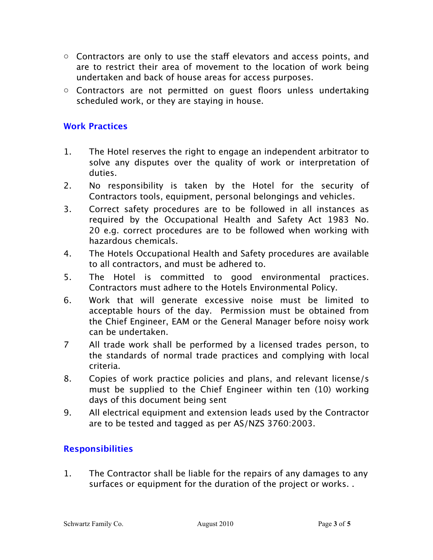- $\circ$  Contractors are only to use the staff elevators and access points, and are to restrict their area of movement to the location of work being undertaken and back of house areas for access purposes.
- o Contractors are not permitted on guest floors unless undertaking scheduled work, or they are staying in house.

### **Work Practices**

- 1. The Hotel reserves the right to engage an independent arbitrator to solve any disputes over the quality of work or interpretation of duties.
- 2. No responsibility is taken by the Hotel for the security of Contractors tools, equipment, personal belongings and vehicles.
- 3. Correct safety procedures are to be followed in all instances as required by the Occupational Health and Safety Act 1983 No. 20 e.g. correct procedures are to be followed when working with hazardous chemicals.
- 4. The Hotels Occupational Health and Safety procedures are available to all contractors, and must be adhered to.
- 5. The Hotel is committed to good environmental practices. Contractors must adhere to the Hotels Environmental Policy.
- 6. Work that will generate excessive noise must be limited to acceptable hours of the day. Permission must be obtained from the Chief Engineer, EAM or the General Manager before noisy work can be undertaken.
- 7 All trade work shall be performed by a licensed trades person, to the standards of normal trade practices and complying with local criteria.
- 8. Copies of work practice policies and plans, and relevant license/s must be supplied to the Chief Engineer within ten (10) working days of this document being sent
- 9. All electrical equipment and extension leads used by the Contractor are to be tested and tagged as per AS/NZS 3760:2003.

## **Responsibilities**

1. The Contractor shall be liable for the repairs of any damages to any surfaces or equipment for the duration of the project or works. .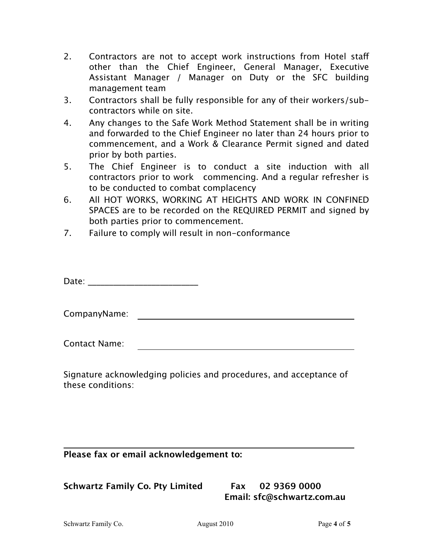- 2. Contractors are not to accept work instructions from Hotel staff other than the Chief Engineer, General Manager, Executive Assistant Manager / Manager on Duty or the SFC building management team
- 3. Contractors shall be fully responsible for any of their workers/subcontractors while on site.
- 4. Any changes to the Safe Work Method Statement shall be in writing and forwarded to the Chief Engineer no later than 24 hours prior to commencement, and a Work & Clearance Permit signed and dated prior by both parties.
- 5. The Chief Engineer is to conduct a site induction with all contractors prior to work commencing. And a regular refresher is to be conducted to combat complacency
- 6. All HOT WORKS, WORKING AT HEIGHTS AND WORK IN CONFINED SPACES are to be recorded on the REQUIRED PERMIT and signed by both parties prior to commencement.
- 7. Failure to comply will result in non-conformance

Date: \_\_\_\_\_\_\_\_\_\_\_\_\_\_\_\_\_\_\_\_\_\_\_\_\_\_

CompanyName:

Contact Name:

Signature acknowledging policies and procedures, and acceptance of these conditions:

### **Please fax or email acknowledgement to:**

## **Schwartz Family Co. Pty Limited Fax 02 9369 0000**

 **Email: sfc@schwartz.com.au** 

Schwartz Family Co. **August 2010** Page 4 of 5